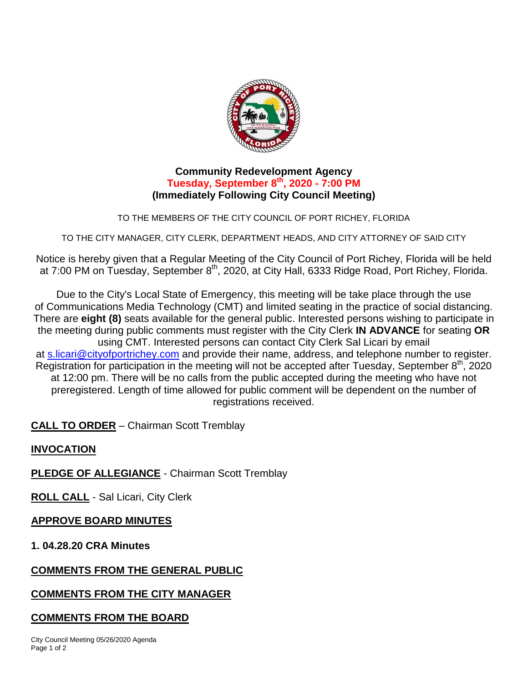

#### **Community Redevelopment Agency Tuesday, September 8th, 2020 - 7:00 PM (Immediately Following City Council Meeting)**

TO THE MEMBERS OF THE CITY COUNCIL OF PORT RICHEY, FLORIDA

TO THE CITY MANAGER, CITY CLERK, DEPARTMENT HEADS, AND CITY ATTORNEY OF SAID CITY

Notice is hereby given that a Regular Meeting of the City Council of Port Richey, Florida will be held at 7:00 PM on Tuesday, September 8<sup>th</sup>, 2020, at City Hall, 6333 Ridge Road, Port Richey, Florida.

Due to the City's Local State of Emergency, this meeting will be take place through the use of Communications Media Technology (CMT) and limited seating in the practice of social distancing. There are **eight (8)** seats available for the general public. Interested persons wishing to participate in the meeting during public comments must register with the City Clerk **IN ADVANCE** for seating **OR** using CMT. Interested persons can contact City Clerk Sal Licari by email at [s.licari@cityofportrichey.com](mailto:s.licari@cityofportrichey.com) and provide their name, address, and telephone number to register. Registration for participation in the meeting will not be accepted after Tuesday, September  $8<sup>th</sup>$ , 2020 at 12:00 pm. There will be no calls from the public accepted during the meeting who have not preregistered. Length of time allowed for public comment will be dependent on the number of registrations received.

**CALL TO ORDER** – Chairman Scott Tremblay

## **INVOCATION**

**PLEDGE OF ALLEGIANCE - Chairman Scott Tremblay** 

**ROLL CALL** - Sal Licari, City Clerk

## **APPROVE BOARD MINUTES**

**1. 04.28.20 CRA Minutes**

## **COMMENTS FROM THE GENERAL PUBLIC**

# **COMMENTS FROM THE CITY MANAGER**

# **COMMENTS FROM THE BOARD**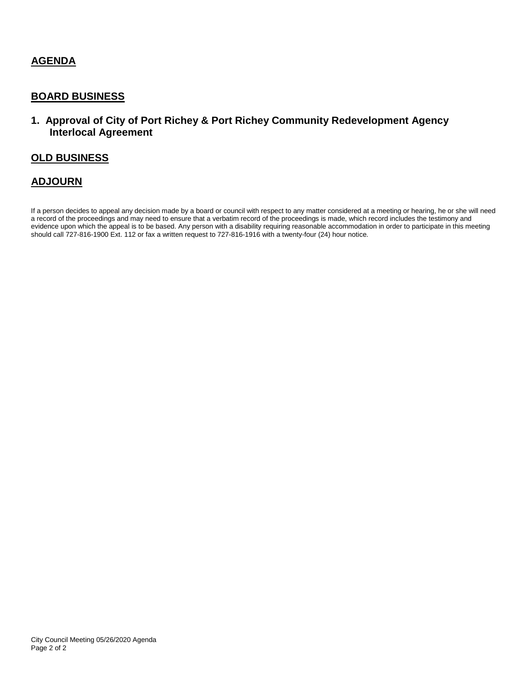#### **AGENDA**

#### **BOARD BUSINESS**

#### **1. Approval of City of Port Richey & Port Richey Community Redevelopment Agency Interlocal Agreement**

#### **OLD BUSINESS**

#### **ADJOURN**

If a person decides to appeal any decision made by a board or council with respect to any matter considered at a meeting or hearing, he or she will need a record of the proceedings and may need to ensure that a verbatim record of the proceedings is made, which record includes the testimony and evidence upon which the appeal is to be based. Any person with a disability requiring reasonable accommodation in order to participate in this meeting should call 727-816-1900 Ext. 112 or fax a written request to 727-816-1916 with a twenty-four (24) hour notice.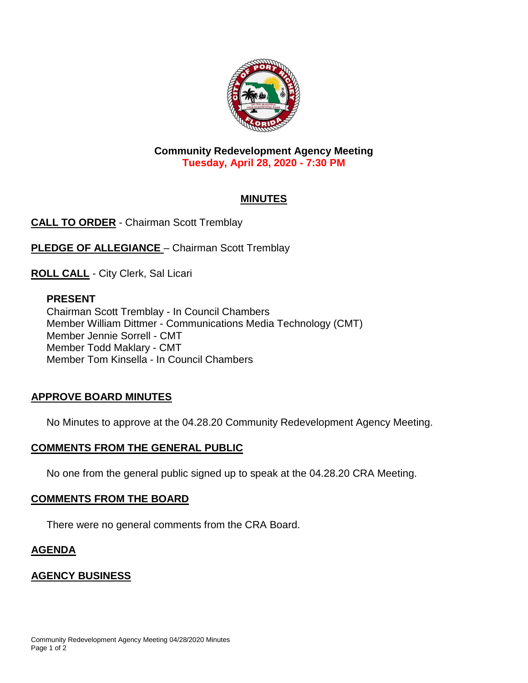

#### **Community Redevelopment Agency Meeting Tuesday, April 28, 2020 - 7:30 PM**

# **MINUTES**

**CALL TO ORDER** - Chairman Scott Tremblay

**PLEDGE OF ALLEGIANCE** - Chairman Scott Tremblay

**ROLL CALL** - City Clerk, Sal Licari

## **PRESENT**

Chairman Scott Tremblay - In Council Chambers Member William Dittmer - Communications Media Technology (CMT) Member Jennie Sorrell - CMT Member Todd Maklary - CMT Member Tom Kinsella - In Council Chambers

## **APPROVE BOARD MINUTES**

No Minutes to approve at the 04.28.20 Community Redevelopment Agency Meeting.

## **COMMENTS FROM THE GENERAL PUBLIC**

No one from the general public signed up to speak at the 04.28.20 CRA Meeting.

#### **COMMENTS FROM THE BOARD**

There were no general comments from the CRA Board.

#### **AGENDA**

## **AGENCY BUSINESS**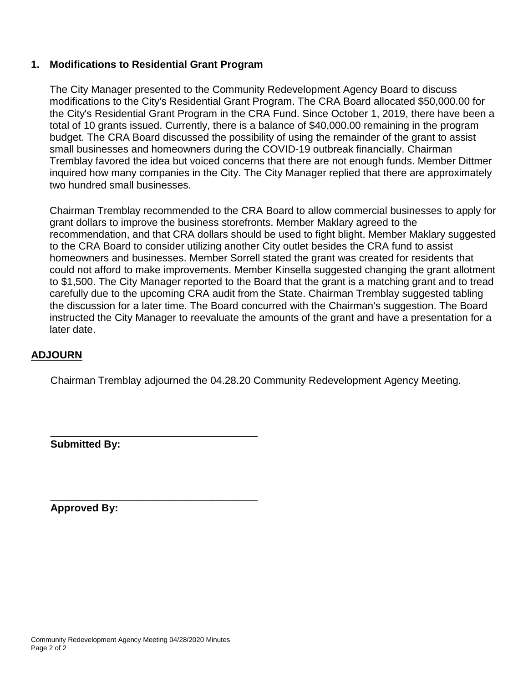#### **1. Modifications to Residential Grant Program**

The City Manager presented to the Community Redevelopment Agency Board to discuss modifications to the City's Residential Grant Program. The CRA Board allocated \$50,000.00 for the City's Residential Grant Program in the CRA Fund. Since October 1, 2019, there have been a total of 10 grants issued. Currently, there is a balance of \$40,000.00 remaining in the program budget. The CRA Board discussed the possibility of using the remainder of the grant to assist small businesses and homeowners during the COVID-19 outbreak financially. Chairman Tremblay favored the idea but voiced concerns that there are not enough funds. Member Dittmer inquired how many companies in the City. The City Manager replied that there are approximately two hundred small businesses.

Chairman Tremblay recommended to the CRA Board to allow commercial businesses to apply for grant dollars to improve the business storefronts. Member Maklary agreed to the recommendation, and that CRA dollars should be used to fight blight. Member Maklary suggested to the CRA Board to consider utilizing another City outlet besides the CRA fund to assist homeowners and businesses. Member Sorrell stated the grant was created for residents that could not afford to make improvements. Member Kinsella suggested changing the grant allotment to \$1,500. The City Manager reported to the Board that the grant is a matching grant and to tread carefully due to the upcoming CRA audit from the State. Chairman Tremblay suggested tabling the discussion for a later time. The Board concurred with the Chairman's suggestion. The Board instructed the City Manager to reevaluate the amounts of the grant and have a presentation for a later date.

## **ADJOURN**

Chairman Tremblay adjourned the 04.28.20 Community Redevelopment Agency Meeting.

**Submitted By:**

**Approved By:**

\_\_\_\_\_\_\_\_\_\_\_\_\_\_\_\_\_\_\_\_\_\_\_\_\_\_\_\_\_\_\_\_\_\_\_\_

\_\_\_\_\_\_\_\_\_\_\_\_\_\_\_\_\_\_\_\_\_\_\_\_\_\_\_\_\_\_\_\_\_\_\_\_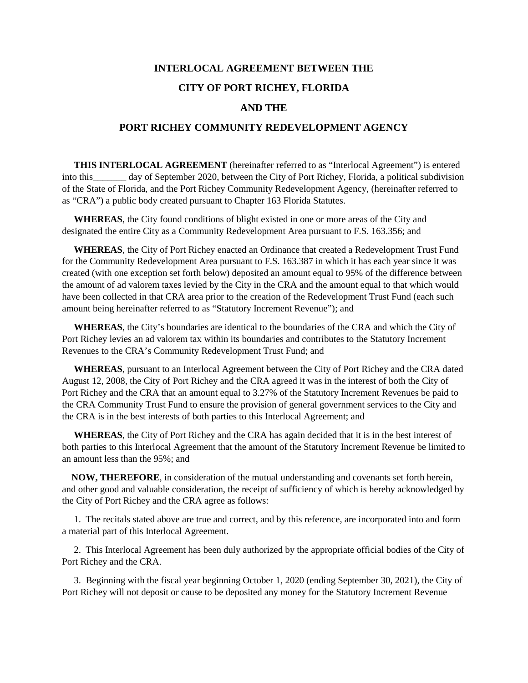# **INTERLOCAL AGREEMENT BETWEEN THE CITY OF PORT RICHEY, FLORIDA AND THE**

#### **PORT RICHEY COMMUNITY REDEVELOPMENT AGENCY**

 **THIS INTERLOCAL AGREEMENT** (hereinafter referred to as "Interlocal Agreement") is entered into this day of September 2020, between the City of Port Richey, Florida, a political subdivision of the State of Florida, and the Port Richey Community Redevelopment Agency, (hereinafter referred to as "CRA") a public body created pursuant to Chapter 163 Florida Statutes.

 **WHEREAS**, the City found conditions of blight existed in one or more areas of the City and designated the entire City as a Community Redevelopment Area pursuant to F.S. 163.356; and

 **WHEREAS**, the City of Port Richey enacted an Ordinance that created a Redevelopment Trust Fund for the Community Redevelopment Area pursuant to F.S. 163.387 in which it has each year since it was created (with one exception set forth below) deposited an amount equal to 95% of the difference between the amount of ad valorem taxes levied by the City in the CRA and the amount equal to that which would have been collected in that CRA area prior to the creation of the Redevelopment Trust Fund (each such amount being hereinafter referred to as "Statutory Increment Revenue"); and

 **WHEREAS**, the City's boundaries are identical to the boundaries of the CRA and which the City of Port Richey levies an ad valorem tax within its boundaries and contributes to the Statutory Increment Revenues to the CRA's Community Redevelopment Trust Fund; and

 **WHEREAS**, pursuant to an Interlocal Agreement between the City of Port Richey and the CRA dated August 12, 2008, the City of Port Richey and the CRA agreed it was in the interest of both the City of Port Richey and the CRA that an amount equal to 3.27% of the Statutory Increment Revenues be paid to the CRA Community Trust Fund to ensure the provision of general government services to the City and the CRA is in the best interests of both parties to this Interlocal Agreement; and

 **WHEREAS**, the City of Port Richey and the CRA has again decided that it is in the best interest of both parties to this Interlocal Agreement that the amount of the Statutory Increment Revenue be limited to an amount less than the 95%; and

 **NOW, THEREFORE**, in consideration of the mutual understanding and covenants set forth herein, and other good and valuable consideration, the receipt of sufficiency of which is hereby acknowledged by the City of Port Richey and the CRA agree as follows:

 1. The recitals stated above are true and correct, and by this reference, are incorporated into and form a material part of this Interlocal Agreement.

 2. This Interlocal Agreement has been duly authorized by the appropriate official bodies of the City of Port Richey and the CRA.

 3. Beginning with the fiscal year beginning October 1, 2020 (ending September 30, 2021), the City of Port Richey will not deposit or cause to be deposited any money for the Statutory Increment Revenue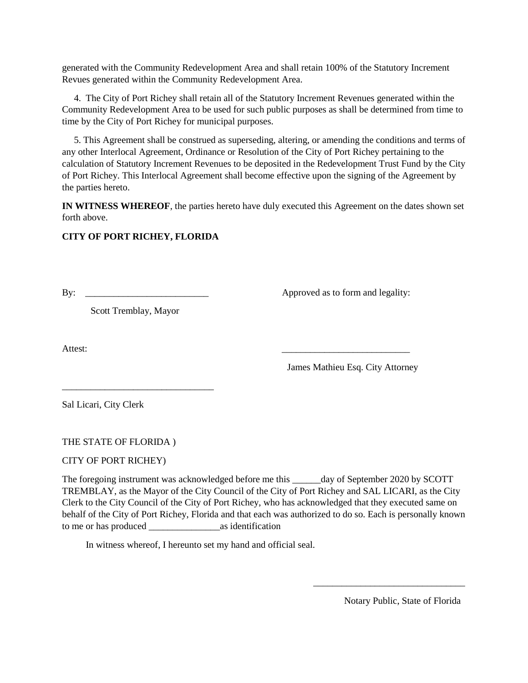generated with the Community Redevelopment Area and shall retain 100% of the Statutory Increment Revues generated within the Community Redevelopment Area.

 4. The City of Port Richey shall retain all of the Statutory Increment Revenues generated within the Community Redevelopment Area to be used for such public purposes as shall be determined from time to time by the City of Port Richey for municipal purposes.

 5. This Agreement shall be construed as superseding, altering, or amending the conditions and terms of any other Interlocal Agreement, Ordinance or Resolution of the City of Port Richey pertaining to the calculation of Statutory Increment Revenues to be deposited in the Redevelopment Trust Fund by the City of Port Richey. This Interlocal Agreement shall become effective upon the signing of the Agreement by the parties hereto.

**IN WITNESS WHEREOF**, the parties hereto have duly executed this Agreement on the dates shown set forth above.

#### **CITY OF PORT RICHEY, FLORIDA**

By: \_\_\_\_\_\_\_\_\_\_\_\_\_\_\_\_\_\_\_\_\_\_\_\_\_\_ Approved as to form and legality:

Scott Tremblay, Mayor

\_\_\_\_\_\_\_\_\_\_\_\_\_\_\_\_\_\_\_\_\_\_\_\_\_\_\_\_\_\_\_\_

Attest: \_\_\_\_\_\_\_\_\_\_\_\_\_\_\_\_\_\_\_\_\_\_\_\_\_\_\_

James Mathieu Esq. City Attorney

Sal Licari, City Clerk

THE STATE OF FLORIDA )

CITY OF PORT RICHEY)

The foregoing instrument was acknowledged before me this \_\_\_\_\_\_day of September 2020 by SCOTT TREMBLAY, as the Mayor of the City Council of the City of Port Richey and SAL LICARI, as the City Clerk to the City Council of the City of Port Richey, who has acknowledged that they executed same on behalf of the City of Port Richey, Florida and that each was authorized to do so. Each is personally known to me or has produced \_\_\_\_\_\_\_\_\_\_\_\_\_\_\_as identification

 $\overline{\phantom{a}}$  , and the contract of the contract of the contract of the contract of the contract of the contract of the contract of the contract of the contract of the contract of the contract of the contract of the contrac

In witness whereof, I hereunto set my hand and official seal.

Notary Public, State of Florida